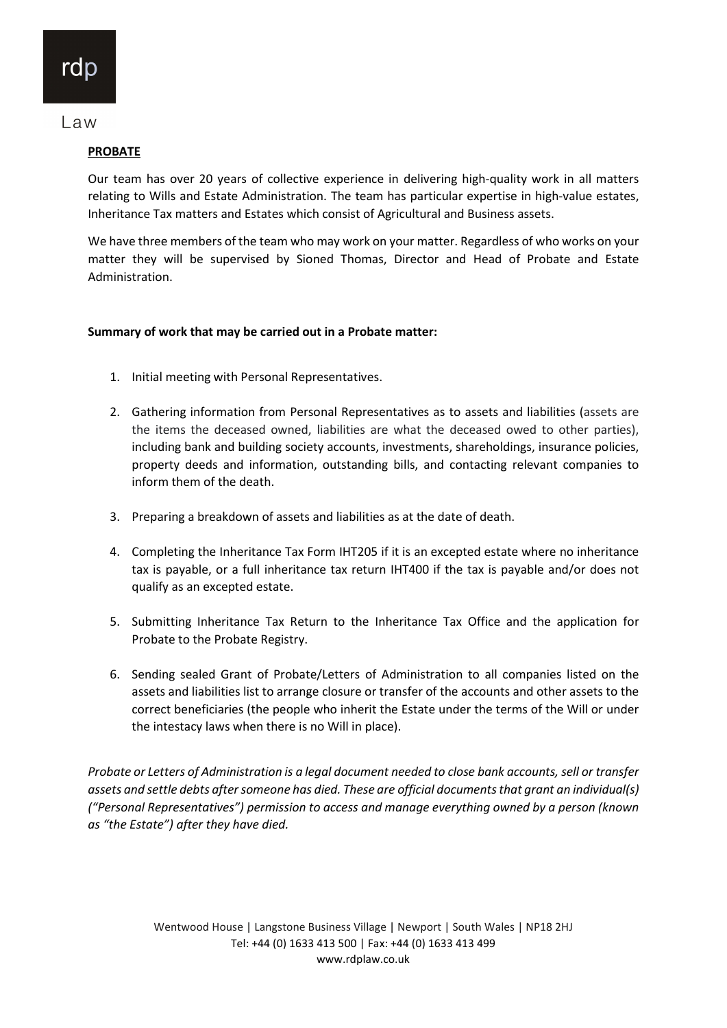## **PROBATE**

Our team has over 20 years of collective experience in delivering high-quality work in all matters relating to Wills and Estate Administration. The team has particular expertise in high-value estates, Inheritance Tax matters and Estates which consist of Agricultural and Business assets.

We have three members of the team who may work on your matter. Regardless of who works on your matter they will be supervised by Sioned Thomas, Director and Head of Probate and Estate Administration.

## Summary of work that may be carried out in a Probate matter:

- 1. Initial meeting with Personal Representatives.
- 2. Gathering information from Personal Representatives as to assets and liabilities (assets are the items the deceased owned, liabilities are what the deceased owed to other parties), including bank and building society accounts, investments, shareholdings, insurance policies, property deeds and information, outstanding bills, and contacting relevant companies to inform them of the death.
- 3. Preparing a breakdown of assets and liabilities as at the date of death.
- 4. Completing the Inheritance Tax Form IHT205 if it is an excepted estate where no inheritance tax is payable, or a full inheritance tax return IHT400 if the tax is payable and/or does not qualify as an excepted estate.
- 5. Submitting Inheritance Tax Return to the Inheritance Tax Office and the application for Probate to the Probate Registry.
- 6. Sending sealed Grant of Probate/Letters of Administration to all companies listed on the assets and liabilities list to arrange closure or transfer of the accounts and other assets to the correct beneficiaries (the people who inherit the Estate under the terms of the Will or under the intestacy laws when there is no Will in place).

Probate or Letters of Administration is a legal document needed to close bank accounts, sell or transfer assets and settle debts after someone has died. These are official documents that grant an individual(s) ("Personal Representatives") permission to access and manage everything owned by a person (known as "the Estate") after they have died.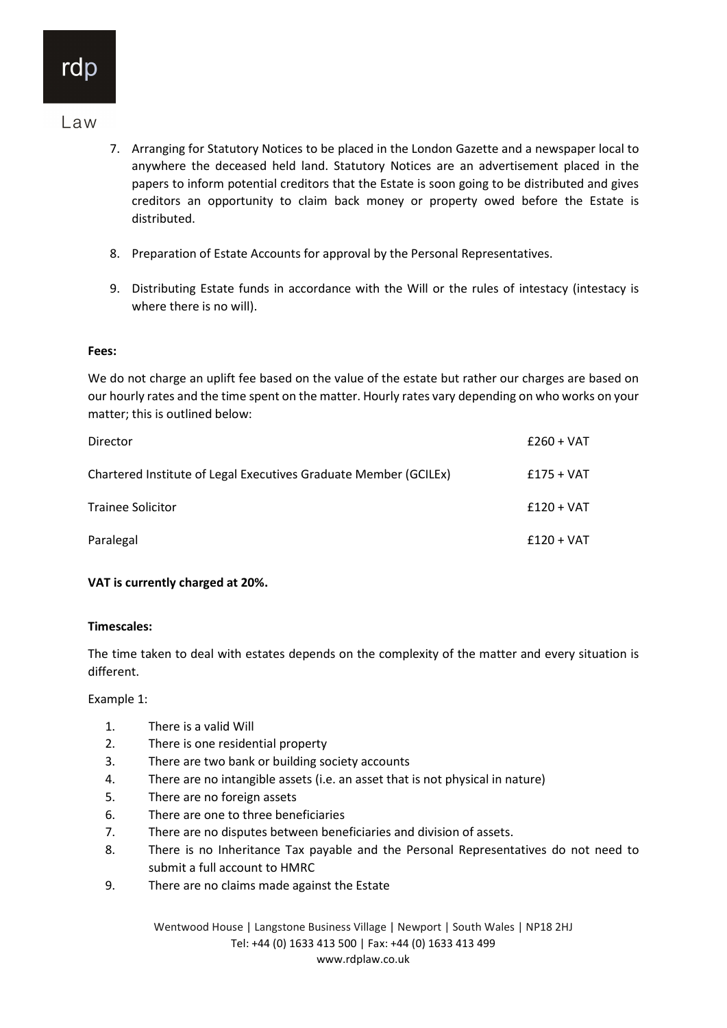- 7. Arranging for Statutory Notices to be placed in the London Gazette and a newspaper local to anywhere the deceased held land. Statutory Notices are an advertisement placed in the papers to inform potential creditors that the Estate is soon going to be distributed and gives creditors an opportunity to claim back money or property owed before the Estate is distributed.
- 8. Preparation of Estate Accounts for approval by the Personal Representatives.
- 9. Distributing Estate funds in accordance with the Will or the rules of intestacy (intestacy is where there is no will).

## Fees:

We do not charge an uplift fee based on the value of the estate but rather our charges are based on our hourly rates and the time spent on the matter. Hourly rates vary depending on who works on your matter; this is outlined below:

| <b>Director</b>                                                  | $£260 + VAT$ |
|------------------------------------------------------------------|--------------|
| Chartered Institute of Legal Executives Graduate Member (GCILEx) | $£175 + VAT$ |
| <b>Trainee Solicitor</b>                                         | $£120 + VAT$ |
| Paralegal                                                        | $£120 + VAT$ |

## VAT is currently charged at 20%.

#### Timescales:

The time taken to deal with estates depends on the complexity of the matter and every situation is different.

Example 1:

- 1. There is a valid Will
- 2. There is one residential property
- 3. There are two bank or building society accounts
- 4. There are no intangible assets (i.e. an asset that is not physical in nature)
- 5. There are no foreign assets
- 6. There are one to three beneficiaries
- 7. There are no disputes between beneficiaries and division of assets.
- 8. There is no Inheritance Tax payable and the Personal Representatives do not need to submit a full account to HMRC
- 9. There are no claims made against the Estate

Wentwood House | Langstone Business Village | Newport | South Wales | NP18 2HJ Tel: +44 (0) 1633 413 500 | Fax: +44 (0) 1633 413 499 www.rdplaw.co.uk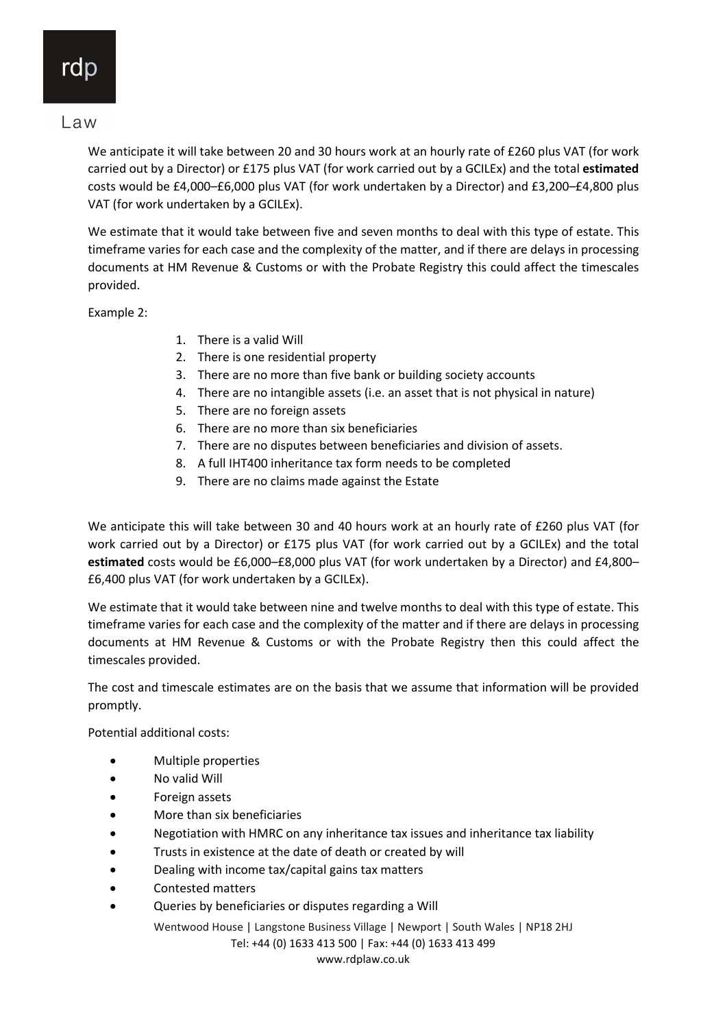We anticipate it will take between 20 and 30 hours work at an hourly rate of £260 plus VAT (for work carried out by a Director) or £175 plus VAT (for work carried out by a GCILEx) and the total estimated costs would be £4,000–£6,000 plus VAT (for work undertaken by a Director) and £3,200–£4,800 plus VAT (for work undertaken by a GCILEx).

We estimate that it would take between five and seven months to deal with this type of estate. This timeframe varies for each case and the complexity of the matter, and if there are delays in processing documents at HM Revenue & Customs or with the Probate Registry this could affect the timescales provided.

Example 2:

- 1. There is a valid Will
- 2. There is one residential property
- 3. There are no more than five bank or building society accounts
- 4. There are no intangible assets (i.e. an asset that is not physical in nature)
- 5. There are no foreign assets
- 6. There are no more than six beneficiaries
- 7. There are no disputes between beneficiaries and division of assets.
- 8. A full IHT400 inheritance tax form needs to be completed
- 9. There are no claims made against the Estate

We anticipate this will take between 30 and 40 hours work at an hourly rate of £260 plus VAT (for work carried out by a Director) or £175 plus VAT (for work carried out by a GCILEx) and the total estimated costs would be £6,000–£8,000 plus VAT (for work undertaken by a Director) and £4,800– £6,400 plus VAT (for work undertaken by a GCILEx).

We estimate that it would take between nine and twelve months to deal with this type of estate. This timeframe varies for each case and the complexity of the matter and if there are delays in processing documents at HM Revenue & Customs or with the Probate Registry then this could affect the timescales provided.

The cost and timescale estimates are on the basis that we assume that information will be provided promptly.

Potential additional costs:

- Multiple properties
- No valid Will
- Foreign assets
- More than six beneficiaries
- Negotiation with HMRC on any inheritance tax issues and inheritance tax liability
- Trusts in existence at the date of death or created by will
- Dealing with income tax/capital gains tax matters
- Contested matters
- Queries by beneficiaries or disputes regarding a Will

Wentwood House | Langstone Business Village | Newport | South Wales | NP18 2HJ

Tel: +44 (0) 1633 413 500 | Fax: +44 (0) 1633 413 499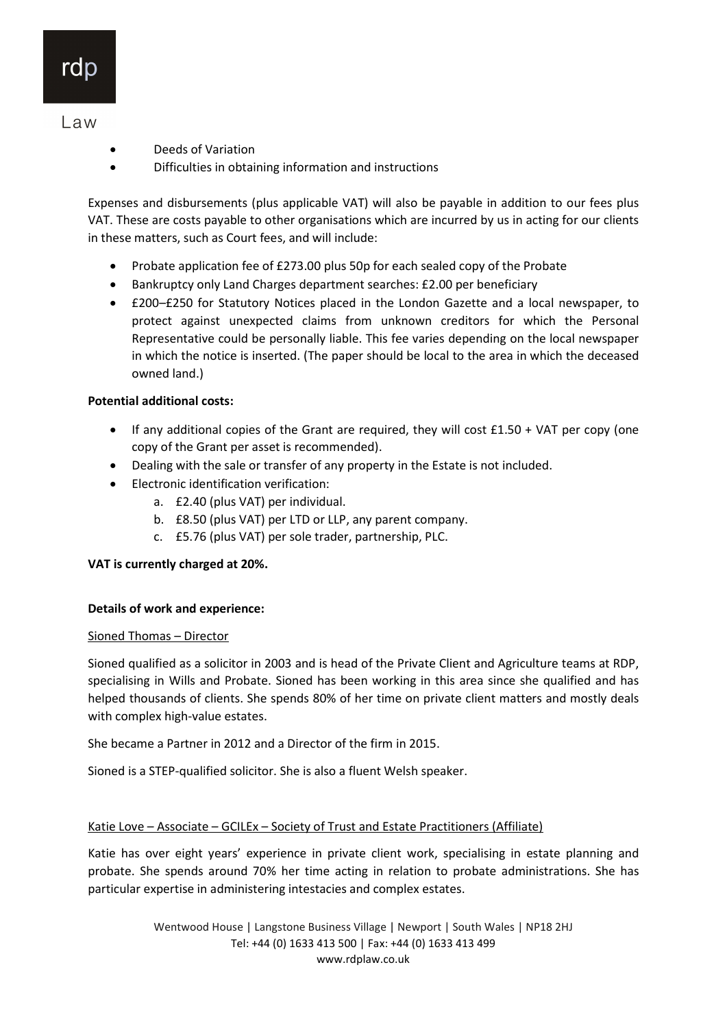- Deeds of Variation
- Difficulties in obtaining information and instructions

Expenses and disbursements (plus applicable VAT) will also be payable in addition to our fees plus VAT. These are costs payable to other organisations which are incurred by us in acting for our clients in these matters, such as Court fees, and will include:

- Probate application fee of £273.00 plus 50p for each sealed copy of the Probate
- Bankruptcy only Land Charges department searches: £2.00 per beneficiary
- £200–£250 for Statutory Notices placed in the London Gazette and a local newspaper, to protect against unexpected claims from unknown creditors for which the Personal Representative could be personally liable. This fee varies depending on the local newspaper in which the notice is inserted. (The paper should be local to the area in which the deceased owned land.)

## Potential additional costs:

- $\bullet$  If any additional copies of the Grant are required, they will cost £1.50 + VAT per copy (one copy of the Grant per asset is recommended).
- Dealing with the sale or transfer of any property in the Estate is not included.
- Electronic identification verification:
	- a. £2.40 (plus VAT) per individual.
	- b. £8.50 (plus VAT) per LTD or LLP, any parent company.
	- c. £5.76 (plus VAT) per sole trader, partnership, PLC.

## VAT is currently charged at 20%.

#### Details of work and experience:

#### Sioned Thomas – Director

Sioned qualified as a solicitor in 2003 and is head of the Private Client and Agriculture teams at RDP, specialising in Wills and Probate. Sioned has been working in this area since she qualified and has helped thousands of clients. She spends 80% of her time on private client matters and mostly deals with complex high-value estates.

She became a Partner in 2012 and a Director of the firm in 2015.

Sioned is a STEP-qualified solicitor. She is also a fluent Welsh speaker.

#### Katie Love – Associate – GCILEx – Society of Trust and Estate Practitioners (Affiliate)

Katie has over eight years' experience in private client work, specialising in estate planning and probate. She spends around 70% her time acting in relation to probate administrations. She has particular expertise in administering intestacies and complex estates.

> Wentwood House | Langstone Business Village | Newport | South Wales | NP18 2HJ Tel: +44 (0) 1633 413 500 | Fax: +44 (0) 1633 413 499 www.rdplaw.co.uk